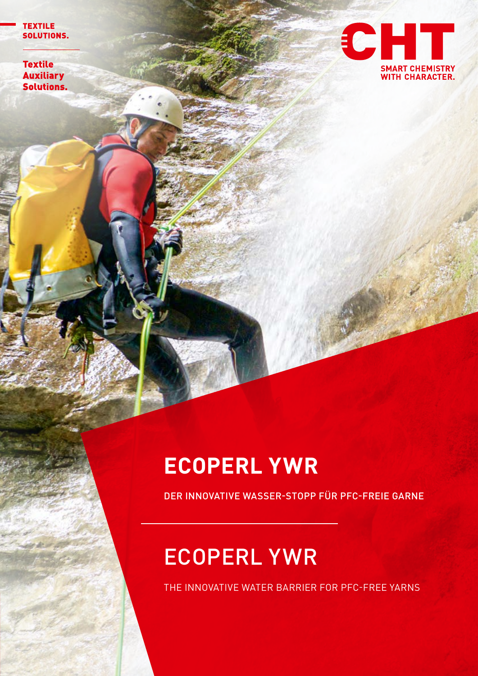**TEXTILE** SOLUTIONS.

**Textile Auxiliary Solutions.** 



## **ECOPERL YWR**

DER INNOVATIVE WASSER-STOPP FÜR PFC-FREIE GARNE

## ECOPERL YWR

THE INNOVATIVE WATER BARRIER FOR PFC-FREE YARNS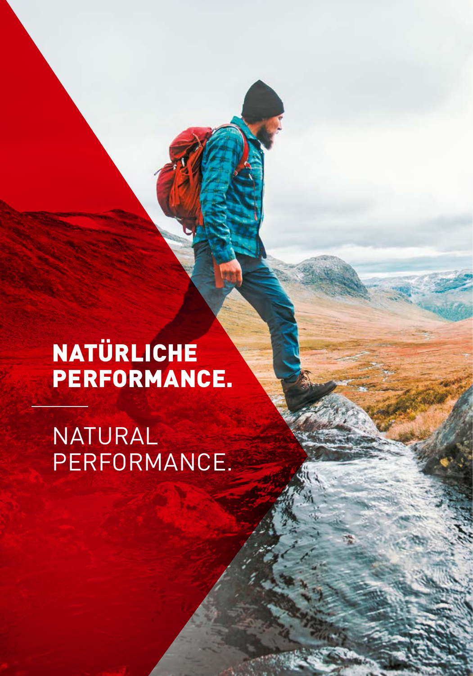## NATÜRLICHE PERFORMANCE.

NATURAL PERFORMANCE.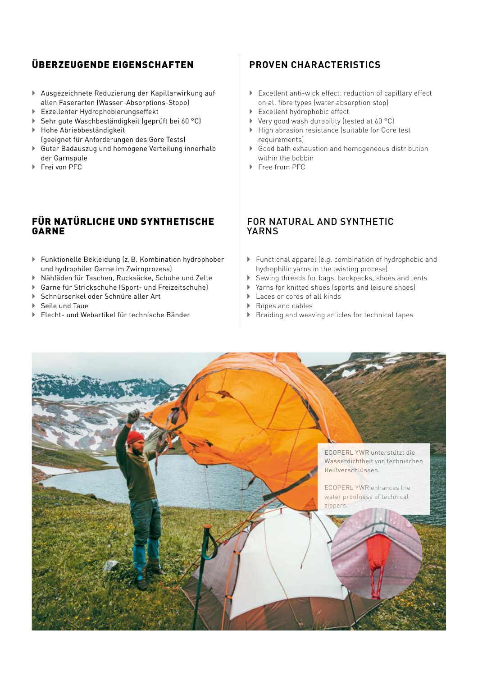#### ÜBERZEUGENDE EIGENSCHAFTEN

- ` Ausgezeichnete Reduzierung der Kapillarwirkung auf allen Faserarten (Wasser-Absorptions-Stopp)
- ` Exzellenter Hydrophobierungseffekt
- ` Sehr gute Waschbeständigkeit (geprüft bei 60 °C)
- ` Hohe Abriebbeständigkeit (geeignet für Anforderungen des Gore Tests)
- **Example 3** Guter Badauszug und homogene Verteilung innerhalb der Garnspule
- ▶ Frei von PFC

#### FÜR NATÜRLICHE UND SYNTHETISCHE GARNE

- $\blacktriangleright$  Funktionelle Bekleidung (z.B. Kombination hydrophober und hydrophiler Garne im Zwirnprozess)
- ` Nähfäden für Taschen, Rucksäcke, Schuhe und Zelte
- ` Garne für Strickschuhe (Sport- und Freizeitschuhe)
- ▶ Schnürsenkel oder Schnüre aller Art
- ` Seile und Taue
- ` Flecht- und Webartikel für technische Bänder

#### **PROVEN CHARACTERISTICS**

- ` Excellent anti-wick effect: reduction of capillary effect on all fibre types (water absorption stop)
- Excellent hydrophobic effect
- $\triangleright$  Very good wash durability (tested at 60 °C)
- ` High abrasion resistance (suitable for Gore test requirements)
- ` Good bath exhaustion and homogeneous distribution within the bobbin
- ` Free from PFC

#### FOR NATURAL AND SYNTHETIC YARNS

- ` Functional apparel (e.g. combination of hydrophobic and hydrophilic yarns in the twisting process)
- ` Sewing threads for bags, backpacks, shoes and tents
- ` Yarns for knitted shoes (sports and leisure shoes)
- $\blacktriangleright$  Laces or cords of all kinds
- ▶ Ropes and cables
- Braiding and weaving articles for technical tapes

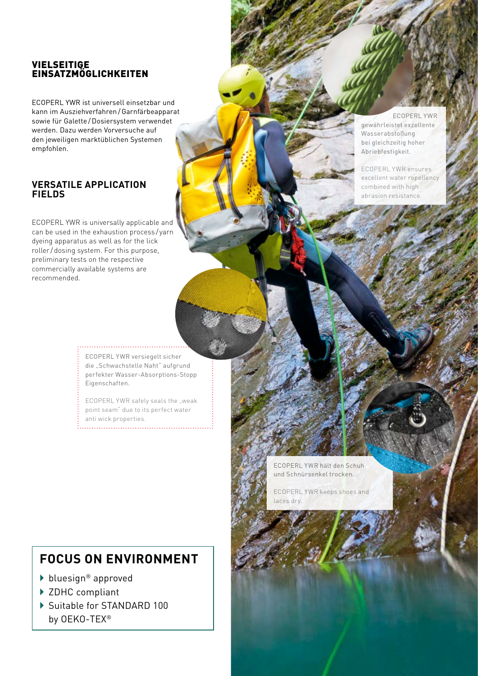#### VIELSEITIGE **EINSATZMÖGLICHKEITEN**

ECOPERL YWR ist universell einsetzbar und kann im Ausziehverfahren /Garnfärbeapparat sowie für Galette /Dosiersystem verwendet werden. Dazu werden Vorversuche auf den jeweiligen marktüblichen Systemen empfohlen.

#### **VERSATILE APPLICATION FIELDS**

ECOPERL YWR is universally applicable and can be used in the exhaustion process / yarn dyeing apparatus as well as for the lick roller / dosing system. For this purpose, preliminary tests on the respective commercially available systems are recommended.

 ECOPERL YWR gewährleistet exzellente Wasserabstoßung bei gleichzeitig hoher Abriebfestigkeit.

ECOPERL YWR ensures excellent water repellency combined with high abrasion resistance.

ECOPERL YWR versiegelt sicher die "Schwachstelle Naht" aufgrund perfekter Wasser-Absorptions-Stopp Eigenschaften.

ECOPERL YWR safely seals the "weak point seam" due to its perfect water anti wick properties.

### **FOCUS ON ENVIRONMENT**

- ▶ bluesign<sup>®</sup> approved
- ▶ ZDHC compliant
- ▶ Suitable for STANDARD 100 by OEKO-TEX®

ECOPERL YWR hält den Schuh und Schnürsenkel trocken.

ECOPERL YWR keeps shoes and laces dry.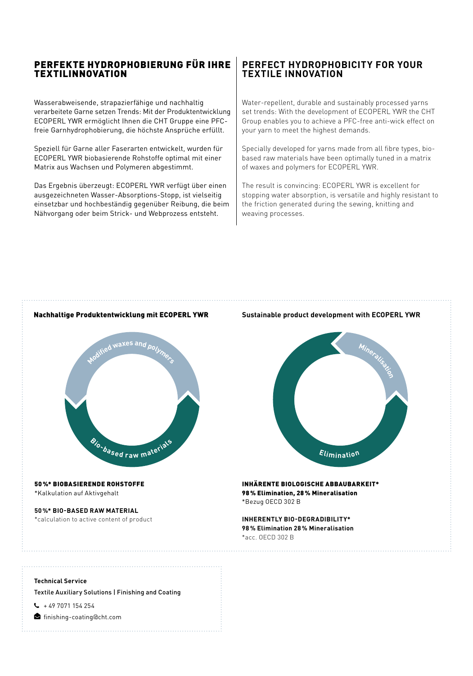#### PERFEKTE HYDROPHOBIERUNG FÜR IHRE **TEXTILINNOVATION**

Wasserabweisende, strapazierfähige und nachhaltig verarbeitete Garne setzen Trends: Mit der Produktentwicklung ECOPERL YWR ermöglicht Ihnen die CHT Gruppe eine PFCfreie Garnhydrophobierung, die höchste Ansprüche erfüllt.

Speziell für Garne aller Faserarten entwickelt, wurden für ECOPERL YWR biobasierende Rohstoffe optimal mit einer Matrix aus Wachsen und Polymeren abgestimmt.

Das Ergebnis überzeugt: ECOPERL YWR verfügt über einen ausgezeichneten Wasser-Absorptions-Stopp, ist vielseitig einsetzbar und hochbeständig gegenüber Reibung, die beim Nähvorgang oder beim Strick- und Webprozess entsteht.

#### **PERFECT HYDROPHOBICITY FOR YOUR TEXTILE INNOVATION**

Water-repellent, durable and sustainably processed yarns set trends: With the development of ECOPERL YWR the CHT Group enables you to achieve a PFC-free anti-wick effect on your yarn to meet the highest demands.

Specially developed for yarns made from all fibre types, biobased raw materials have been optimally tuned in a matrix of waxes and polymers for ECOPERL YWR.

The result is convincing: ECOPERL YWR is excellent for stopping water absorption, is versatile and highly resistant to the friction generated during the sewing, knitting and weaving processes.

# 50 %\* BIOBASIERENDE ROHSTOFFE \*Kalkulation auf Aktivgehalt **50 %\* BIO-BASED RAW MATERIAL** \*calculation to active content of product **d**<br>**waxes** and pol **<sup>B</sup>io-base<sup>d</sup> <sup>r</sup>a<sup>w</sup> <sup>m</sup>aterial<sup>s</sup>**

#### Nachhaltige Produktentwicklung mit ECOPERL YWR **Sustainable product development with ECOPERL YWR**



#### INHÄRENTE BIOLOGISCHE ABBAUBARKEIT\* 98 % Elimination, 28 % Mineralisation \*Bezug OECD 302 B

**INHERENTLY BIO-DEGRADIBILITY\* 98 % Elimination 28 % Mineralisation** \*acc. OECD 302 B

#### **Technical Service**

Textile Auxiliary Solutions | Finishing and Coating

- $\frac{1}{2}$  + 49 7071 154 254
- finishing-coating@cht.com